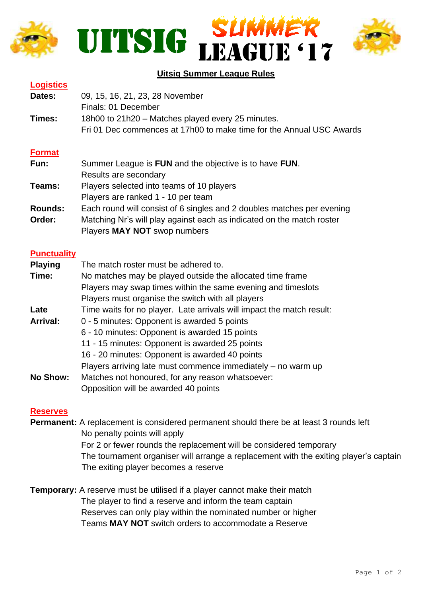





## **Uitsig Summer League Rules**

| <b>Logistics</b> |                                                                      |
|------------------|----------------------------------------------------------------------|
| Dates:           | 09, 15, 16, 21, 23, 28 November                                      |
|                  | Finals: 01 December                                                  |
| Times:           | 18h00 to 21h20 – Matches played every 25 minutes.                    |
|                  | Fri 01 Dec commences at 17h00 to make time for the Annual USC Awards |

### **Format**

| Fun:           | Summer League is FUN and the objective is to have FUN.                 |
|----------------|------------------------------------------------------------------------|
|                | Results are secondary                                                  |
| Teams:         | Players selected into teams of 10 players                              |
|                | Players are ranked 1 - 10 per team                                     |
| <b>Rounds:</b> | Each round will consist of 6 singles and 2 doubles matches per evening |
| Order:         | Matching Nr's will play against each as indicated on the match roster  |
|                | Players MAY NOT swop numbers                                           |

#### **Punctuality**

| <b>Playing</b>  | The match roster must be adhered to.                                  |
|-----------------|-----------------------------------------------------------------------|
| Time:           | No matches may be played outside the allocated time frame             |
|                 | Players may swap times within the same evening and timeslots          |
|                 | Players must organise the switch with all players                     |
| Late            | Time waits for no player. Late arrivals will impact the match result: |
| <b>Arrival:</b> | 0 - 5 minutes: Opponent is awarded 5 points                           |
|                 | 6 - 10 minutes: Opponent is awarded 15 points                         |
|                 | 11 - 15 minutes: Opponent is awarded 25 points                        |
|                 | 16 - 20 minutes: Opponent is awarded 40 points                        |
|                 | Players arriving late must commence immediately $-$ no warm up        |
| <b>No Show:</b> | Matches not honoured, for any reason whatsoever:                      |
|                 | Opposition will be awarded 40 points                                  |

#### **Reserves**

**Permanent:** A replacement is considered permanent should there be at least 3 rounds left No penalty points will apply For 2 or fewer rounds the replacement will be considered temporary The tournament organiser will arrange a replacement with the exiting player's captain The exiting player becomes a reserve

**Temporary:** A reserve must be utilised if a player cannot make their match The player to find a reserve and inform the team captain Reserves can only play within the nominated number or higher Teams **MAY NOT** switch orders to accommodate a Reserve